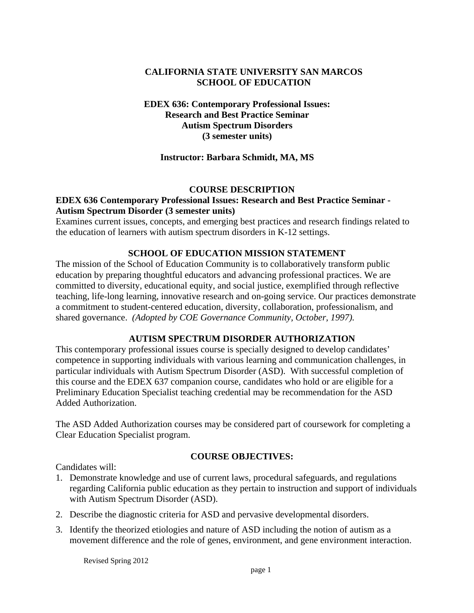# <span id="page-0-0"></span>**CALIFORNIA STATE UNIVERSITY SAN MARCOS SCHOOL OF EDUCATION**

**EDEX 636: Contemporary Professional Issues: Research and Best Practice Seminar Autism Spectrum Disorders (3 semester units)** 

## **Instructor: Barbara Schmidt, MA, MS**

#### **COURSE DESCRIPTION**

# **EDEX 636 Contemporary Professional Issues: Research and Best Practice Seminar - Autism Spectrum Disorder (3 semester units)**

Examines current issues, concepts, and emerging best practices and research findings related to the education of learners with autism spectrum disorders in K-12 settings.

## **SCHOOL OF EDUCATION MISSION STATEMENT**

The mission of the School of Education Community is to collaboratively transform public education by preparing thoughtful educators and advancing professional practices. We are committed to diversity, educational equity, and social justice, exemplified through reflective teaching, life-long learning, innovative research and on-going service. Our practices demonstrate a commitment to student-centered education, diversity, collaboration, professionalism, and shared governance. *(Adopted by COE Governance Community, October, 1997).* 

#### **AUTISM SPECTRUM DISORDER AUTHORIZATION**

This contemporary professional issues course is specially designed to develop candidates' competence in supporting individuals with various learning and communication challenges, in particular individuals with Autism Spectrum Disorder (ASD). With successful completion of this course and the EDEX 637 companion course, candidates who hold or are eligible for a Preliminary Education Specialist teaching credential may be recommendation for the ASD Added Authorization.

The ASD Added Authorization courses may be considered part of coursework for completing a Clear Education Specialist program.

#### **COURSE OBJECTIVES:**

Candidates will:

- 1. Demonstrate knowledge and use of current laws, procedural safeguards, and regulations regarding California public education as they pertain to instruction and support of individuals with Autism Spectrum Disorder (ASD).
- 2. Describe the diagnostic criteria for ASD and pervasive developmental disorders.
- 3. Identify the theorized etiologies and nature of ASD including the notion of autism as a movement difference and the role of genes, environment, and gene environment interaction.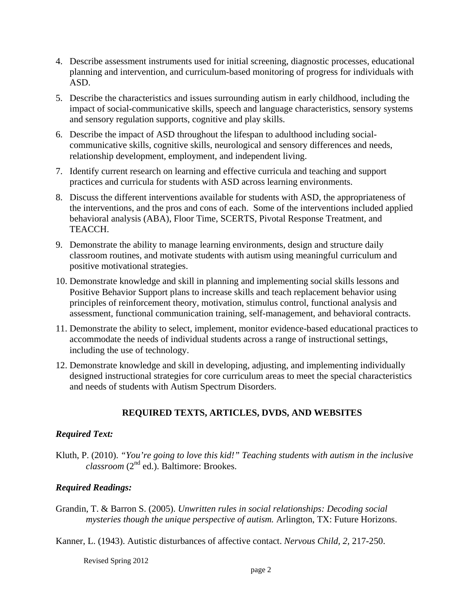- <span id="page-1-0"></span>4. Describe assessment instruments used for initial screening, diagnostic processes, educational planning and intervention, and curriculum-based monitoring of progress for individuals with ASD.
- 5. Describe the characteristics and issues surrounding autism in early childhood, including the impact of social-communicative skills, speech and language characteristics, sensory systems and sensory regulation supports, cognitive and play skills.
- 6. Describe the impact of ASD throughout the lifespan to adulthood including socialcommunicative skills, cognitive skills, neurological and sensory differences and needs, relationship development, employment, and independent living.
- 7. Identify current research on learning and effective curricula and teaching and support practices and curricula for students with ASD across learning environments.
- 8. Discuss the different interventions available for students with ASD, the appropriateness of the interventions, and the pros and cons of each. Some of the interventions included applied behavioral analysis (ABA), Floor Time, SCERTS, Pivotal Response Treatment, and TEACCH.
- 9. Demonstrate the ability to manage learning environments, design and structure daily classroom routines, and motivate students with autism using meaningful curriculum and positive motivational strategies.
- 10. Demonstrate knowledge and skill in planning and implementing social skills lessons and Positive Behavior Support plans to increase skills and teach replacement behavior using principles of reinforcement theory, motivation, stimulus control, functional analysis and assessment, functional communication training, self-management, and behavioral contracts.
- 11. Demonstrate the ability to select, implement, monitor evidence-based educational practices to accommodate the needs of individual students across a range of instructional settings, including the use of technology.
- 12. Demonstrate knowledge and skill in developing, adjusting, and implementing individually designed instructional strategies for core curriculum areas to meet the special characteristics and needs of students with Autism Spectrum Disorders.

# **REQUIRED TEXTS, ARTICLES, DVDS, AND WEBSITES**

# *Required Text:*

Kluth, P. (2010). *"You're going to love this kid!" Teaching students with autism in the inclusive classroom* (2nd ed.). Baltimore: Brookes.

# *Required Readings:*

Grandin, T. & Barron S. (2005). *Unwritten rules in social relationships: Decoding social mysteries though the unique perspective of autism.* Arlington, TX: Future Horizons.

Kanner, L. (1943). Autistic disturbances of affective contact. *Nervous Child, 2,* 217-250.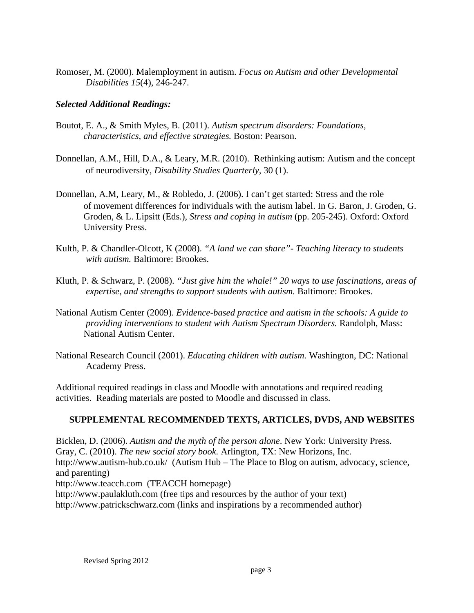<span id="page-2-0"></span>Romoser, M. (2000). Malemployment in autism. *Focus on Autism and other Developmental Disabilities 15*(4), 246-247.

# *Selected Additional Readings:*

- *characteristics, and effective strategies. Boston: Pearson.* Boutot, E. A., & Smith Myles, B. (2011). *Autism spectrum disorders: Foundations,*
- Donnellan, A.M., Hill, D.A., & Leary, M.R. (2010). Rethinking autism: Autism and the concept of neurodiversity, *Disability Studies Quarterly,* 30 (1).
- Donnellan, A.M, Leary, M., & Robledo, J. (2006). I can't get started: Stress and the role of movement differences for individuals with the autism label. In G. Baron, J. Groden, G. Groden, & L. Lipsitt (Eds.), *Stress and coping in autism* (pp. 205-245). Oxford: Oxford University Press.
- Kulth, P. & Chandler-Olcott, K (2008). *"A land we can share"- Teaching literacy to students with autism.* Baltimore: Brookes.
- Kluth, P. & Schwarz, P. (2008). *"Just give him the whale!" 20 ways to use fascinations, areas of expertise, and strengths to support students with autism.* Baltimore: Brookes.
- National Autism Center (2009). *Evidence-based practice and autism in the schools: A guide to providing interventions to student with Autism Spectrum Disorders.* Randolph, Mass: National Autism Center.
- National Research Council (2001). *Educating children with autism.* Washington, DC: National Academy Press.

Additional required readings in class and Moodle with annotations and required reading activities. Reading materials are posted to Moodle and discussed in class.

# **SUPPLEMENTAL RECOMMENDED TEXTS, ARTICLES, DVDS, AND WEBSITES**

Bicklen, D. (2006). *Autism and the myth of the person alone*. New York: University Press. Gray, C. (2010). *The new social story book.* Arlington, TX: New Horizons, Inc. http://www.autism-hub.co.uk/ (Autism Hub – The Place to Blog on autism, advocacy, science, and parenting) http://www.teacch.com (TEACCH homepage) http://www.paulakluth.com (free tips and resources by the author of your text) http://www.patrickschwarz.com (links and inspirations by a recommended author)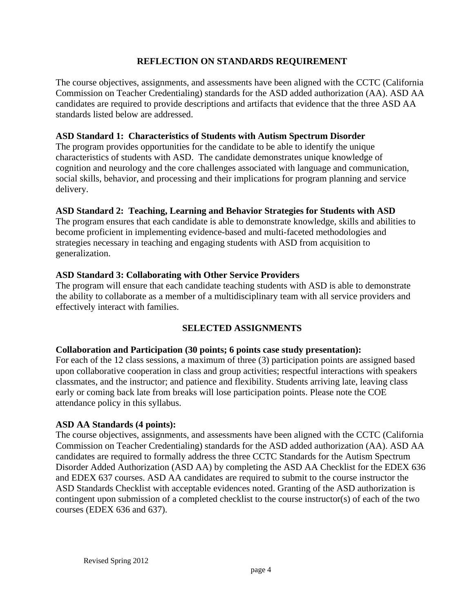# **REFLECTION ON STANDARDS REQUIREMENT**

<span id="page-3-0"></span>The course objectives, assignments, and assessments have been aligned with the CCTC (California Commission on Teacher Credentialing) standards for the ASD added authorization (AA). ASD AA candidates are required to provide descriptions and artifacts that evidence that the three ASD AA standards listed below are addressed.

### **ASD Standard 1: Characteristics of Students with Autism Spectrum Disorder**

The program provides opportunities for the candidate to be able to identify the unique characteristics of students with ASD. The candidate demonstrates unique knowledge of cognition and neurology and the core challenges associated with language and communication, social skills, behavior, and processing and their implications for program planning and service delivery.

## **ASD Standard 2: Teaching, Learning and Behavior Strategies for Students with ASD**

The program ensures that each candidate is able to demonstrate knowledge, skills and abilities to become proficient in implementing evidence-based and multi-faceted methodologies and strategies necessary in teaching and engaging students with ASD from acquisition to generalization.

## **ASD Standard 3: Collaborating with Other Service Providers**

The program will ensure that each candidate teaching students with ASD is able to demonstrate the ability to collaborate as a member of a multidisciplinary team with all service providers and effectively interact with families.

# **SELECTED ASSIGNMENTS**

#### **Collaboration and Participation (30 points; 6 points case study presentation):**

For each of the 12 class sessions, a maximum of three (3) participation points are assigned based upon collaborative cooperation in class and group activities; respectful interactions with speakers classmates, and the instructor; and patience and flexibility. Students arriving late, leaving class early or coming back late from breaks will lose participation points. Please note the COE attendance policy in this syllabus.

#### **ASD AA Standards (4 points):**

The course objectives, assignments, and assessments have been aligned with the CCTC (California Commission on Teacher Credentialing) standards for the ASD added authorization (AA). ASD AA candidates are required to formally address the three CCTC Standards for the Autism Spectrum Disorder Added Authorization (ASD AA) by completing the ASD AA Checklist for the EDEX 636 and EDEX 637 courses. ASD AA candidates are required to submit to the course instructor the ASD Standards Checklist with acceptable evidences noted. Granting of the ASD authorization is contingent upon submission of a completed checklist to the course instructor(s) of each of the two courses (EDEX 636 and 637).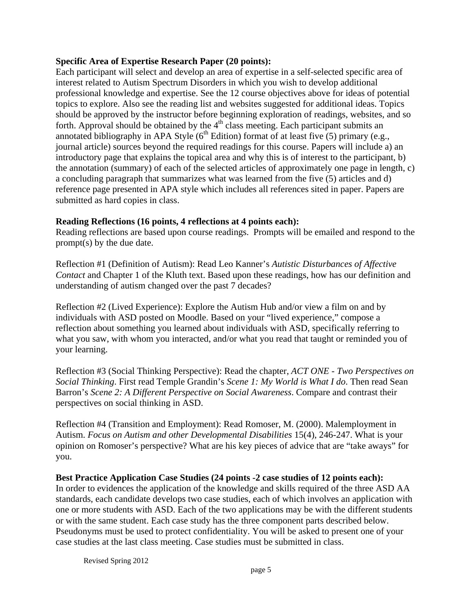## **Specific Area of Expertise Research Paper (20 points):**

Each participant will select and develop an area of expertise in a self-selected specific area of interest related to Autism Spectrum Disorders in which you wish to develop additional professional knowledge and expertise. See the 12 course objectives above for ideas of potential topics to explore. Also see the reading list and websites suggested for additional ideas. Topics should be approved by the instructor before beginning exploration of readings, websites, and so forth. Approval should be obtained by the  $4<sup>th</sup>$  class meeting. Each participant submits an annotated bibliography in APA Style  $(6^{th}$  Edition) format of at least five (5) primary (e.g., journal article) sources beyond the required readings for this course. Papers will include a) an introductory page that explains the topical area and why this is of interest to the participant, b) the annotation (summary) of each of the selected articles of approximately one page in length, c) a concluding paragraph that summarizes what was learned from the five (5) articles and d) reference page presented in APA style which includes all references sited in paper. Papers are submitted as hard copies in class.

## **Reading Reflections (16 points, 4 reflections at 4 points each):**

Reading reflections are based upon course readings. Prompts will be emailed and respond to the prompt(s) by the due date.

Reflection #1 (Definition of Autism): Read Leo Kanner's *Autistic Disturbances of Affective Contact* and Chapter 1 of the Kluth text. Based upon these readings, how has our definition and understanding of autism changed over the past 7 decades?

Reflection #2 (Lived Experience): Explore the Autism Hub and/or view a film on and by individuals with ASD posted on Moodle. Based on your "lived experience," compose a reflection about something you learned about individuals with ASD, specifically referring to what you saw, with whom you interacted, and/or what you read that taught or reminded you of your learning.

Reflection #3 (Social Thinking Perspective): Read the chapter, *ACT ONE - Two Perspectives on Social Thinking*. First read Temple Grandin's *Scene 1: My World is What I do*. Then read Sean Barron's *Scene 2: A Different Perspective on Social Awareness*. Compare and contrast their perspectives on social thinking in ASD.

Reflection #4 (Transition and Employment): Read Romoser, M. (2000). Malemployment in Autism. *Focus on Autism and other Developmental Disabilities* 15(4), 246-247. What is your opinion on Romoser's perspective? What are his key pieces of advice that are "take aways" for you.

#### **Best Practice Application Case Studies (24 points -2 case studies of 12 points each):**

In order to evidences the application of the knowledge and skills required of the three ASD AA standards, each candidate develops two case studies, each of which involves an application with one or more students with ASD. Each of the two applications may be with the different students or with the same student. Each case study has the three component parts described below. Pseudonyms must be used to protect confidentiality. You will be asked to present one of your case studies at the last class meeting. Case studies must be submitted in class.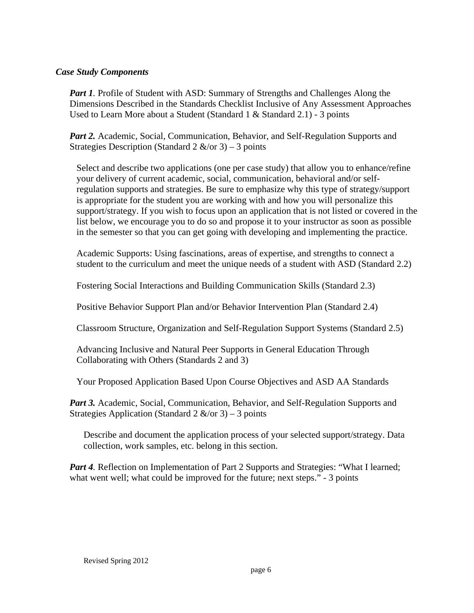## *Case Study Components*

*Part 1.* Profile of Student with ASD: Summary of Strengths and Challenges Along the Dimensions Described in the Standards Checklist Inclusive of Any Assessment Approaches Used to Learn More about a Student (Standard 1 & Standard 2.1) - 3 points

*Part 2.* Academic, Social, Communication, Behavior, and Self-Regulation Supports and Strategies Description (Standard 2  $\&$ /or 3) – 3 points

Select and describe two applications (one per case study) that allow you to enhance/refine your delivery of current academic, social, communication, behavioral and/or selfregulation supports and strategies. Be sure to emphasize why this type of strategy/support is appropriate for the student you are working with and how you will personalize this support/strategy. If you wish to focus upon an application that is not listed or covered in the list below, we encourage you to do so and propose it to your instructor as soon as possible in the semester so that you can get going with developing and implementing the practice.

Academic Supports: Using fascinations, areas of expertise, and strengths to connect a student to the curriculum and meet the unique needs of a student with ASD (Standard 2.2)

Fostering Social Interactions and Building Communication Skills (Standard 2.3)

Positive Behavior Support Plan and/or Behavior Intervention Plan (Standard 2.4)

Classroom Structure, Organization and Self-Regulation Support Systems (Standard 2.5)

Advancing Inclusive and Natural Peer Supports in General Education Through Collaborating with Others (Standards 2 and 3)

Your Proposed Application Based Upon Course Objectives and ASD AA Standards

*Part 3.* Academic, Social, Communication, Behavior, and Self-Regulation Supports and Strategies Application (Standard 2  $\&$ /or 3) – 3 points

Describe and document the application process of your selected support/strategy. Data collection, work samples, etc. belong in this section.

*Part 4.* Reflection on Implementation of Part 2 Supports and Strategies: "What I learned; what went well; what could be improved for the future; next steps." - 3 points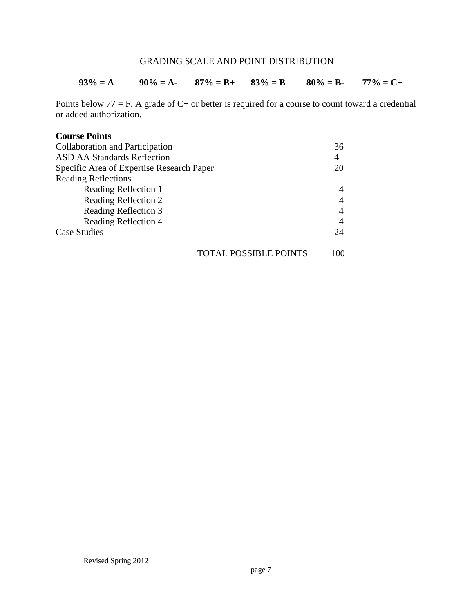# GRADING SCALE AND POINT DISTRIBUTION

#### $93\% = A$   $90\% = A$ -  $87\% = B$ +  $83\% = B$   $80\% = B$ -  $77\% = C+$

Points below  $77 = F$ . A grade of  $C$ + or better is required for a course to count toward a credential or added authorization.

#### **Course Points**

| Collaboration and Participation           | 36  |
|-------------------------------------------|-----|
| <b>ASD AA Standards Reflection</b>        | 4   |
| Specific Area of Expertise Research Paper | 20  |
| <b>Reading Reflections</b>                |     |
| Reading Reflection 1                      |     |
| Reading Reflection 2                      |     |
| Reading Reflection 3                      |     |
| Reading Reflection 4                      |     |
| Case Studies                              | 24  |
| TOTAL POSSIBLE POINTS                     | 100 |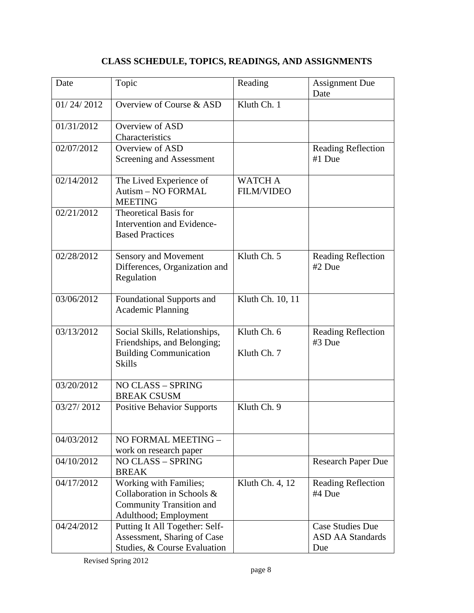# **CLASS SCHEDULE, TOPICS, READINGS, AND ASSIGNMENTS**

| Date       | Topic                                                                                                            | Reading                             | <b>Assignment Due</b><br>Date                             |
|------------|------------------------------------------------------------------------------------------------------------------|-------------------------------------|-----------------------------------------------------------|
| 01/24/2012 | Overview of Course & ASD                                                                                         | Kluth Ch. 1                         |                                                           |
| 01/31/2012 | Overview of ASD<br>Characteristics                                                                               |                                     |                                                           |
| 02/07/2012 | Overview of ASD<br>Screening and Assessment                                                                      |                                     | <b>Reading Reflection</b><br>#1 Due                       |
| 02/14/2012 | The Lived Experience of<br>Autism - NO FORMAL<br><b>MEETING</b>                                                  | <b>WATCH A</b><br><b>FILM/VIDEO</b> |                                                           |
| 02/21/2012 | <b>Theoretical Basis for</b><br>Intervention and Evidence-<br><b>Based Practices</b>                             |                                     |                                                           |
| 02/28/2012 | <b>Sensory and Movement</b><br>Differences, Organization and<br>Regulation                                       | Kluth Ch. 5                         | <b>Reading Reflection</b><br>#2 Due                       |
| 03/06/2012 | Foundational Supports and<br><b>Academic Planning</b>                                                            | Kluth Ch. 10, 11                    |                                                           |
| 03/13/2012 | Social Skills, Relationships,<br>Friendships, and Belonging;<br><b>Building Communication</b><br><b>Skills</b>   | Kluth Ch. 6<br>Kluth Ch. 7          | <b>Reading Reflection</b><br>#3 Due                       |
| 03/20/2012 | NO CLASS - SPRING<br><b>BREAK CSUSM</b>                                                                          |                                     |                                                           |
| 03/27/2012 | <b>Positive Behavior Supports</b>                                                                                | Kluth Ch. 9                         |                                                           |
| 04/03/2012 | NO FORMAL MEETING -<br>work on research paper                                                                    |                                     |                                                           |
| 04/10/2012 | <b>NO CLASS - SPRING</b><br><b>BREAK</b>                                                                         |                                     | <b>Research Paper Due</b>                                 |
| 04/17/2012 | Working with Families;<br>Collaboration in Schools &<br><b>Community Transition and</b><br>Adulthood; Employment | Kluth Ch. 4, 12                     | <b>Reading Reflection</b><br>#4 Due                       |
| 04/24/2012 | Putting It All Together: Self-<br>Assessment, Sharing of Case<br>Studies, & Course Evaluation                    |                                     | <b>Case Studies Due</b><br><b>ASD AA Standards</b><br>Due |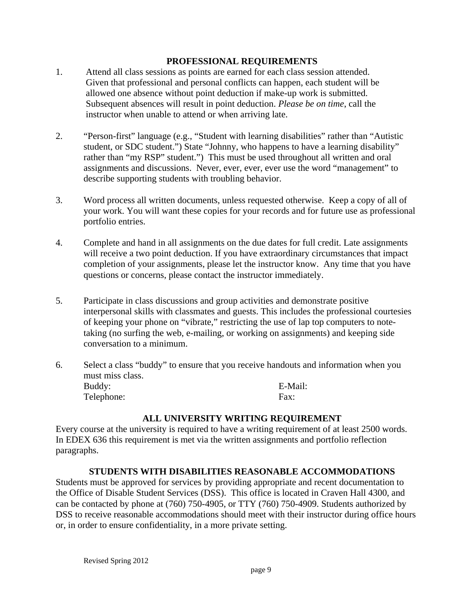### **PROFESSIONAL REQUIREMENTS**

- Given that professional and personal conflicts can happen, each student will be 1. Attend all class sessions as points are earned for each class session attended. allowed one absence without point deduction if make-up work is submitted. Subsequent absences will result in point deduction. *Please be on time*, call the instructor when unable to attend or when arriving late.
- 2. "Person-first" language (e.g., "Student with learning disabilities" rather than "Autistic student, or SDC student.") State "Johnny, who happens to have a learning disability" rather than "my RSP" student.") This must be used throughout all written and oral assignments and discussions. Never, ever, ever, ever use the word "management" to describe supporting students with troubling behavior.
- 3. Word process all written documents, unless requested otherwise. Keep a copy of all of your work. You will want these copies for your records and for future use as professional portfolio entries.
- 4. Complete and hand in all assignments on the due dates for full credit. Late assignments will receive a two point deduction. If you have extraordinary circumstances that impact completion of your assignments, please let the instructor know. Any time that you have questions or concerns, please contact the instructor immediately.
- 5. Participate in class discussions and group activities and demonstrate positive interpersonal skills with classmates and guests. This includes the professional courtesies of keeping your phone on "vibrate," restricting the use of lap top computers to notetaking (no surfing the web, e-mailing, or working on assignments) and keeping side conversation to a minimum.
- 6. Select a class "buddy" to ensure that you receive handouts and information when you must miss class. Buddy: E-Mail: Telephone: Fax:

#### **ALL UNIVERSITY WRITING REQUIREMENT**

Every course at the university is required to have a writing requirement of at least 2500 words. In EDEX 636 this requirement is met via the written assignments and portfolio reflection paragraphs.

#### **STUDENTS WITH DISABILITIES REASONABLE ACCOMMODATIONS**

Students must be approved for services by providing appropriate and recent documentation to the Office of Disable Student Services (DSS). This office is located in Craven Hall 4300, and can be contacted by phone at (760) 750-4905, or TTY (760) 750-4909. Students authorized by DSS to receive reasonable accommodations should meet with their instructor during office hours or, in order to ensure confidentiality, in a more private setting.